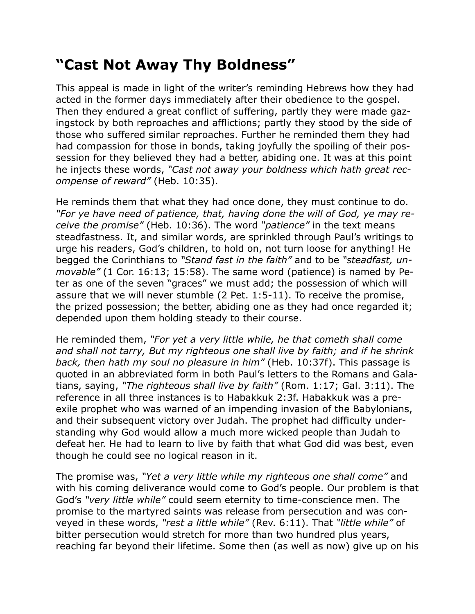## **"Cast Not Away Thy Boldness"**

This appeal is made in light of the writer's reminding Hebrews how they had acted in the former days immediately after their obedience to the gospel. Then they endured a great conflict of suffering, partly they were made gazingstock by both reproaches and afflictions; partly they stood by the side of those who suffered similar reproaches. Further he reminded them they had had compassion for those in bonds, taking joyfully the spoiling of their possession for they believed they had a better, abiding one. It was at this point he injects these words, *"Cast not away your boldness which hath great recompense of reward"* (Heb. 10:35).

He reminds them that what they had once done, they must continue to do. *"For ye have need of patience, that, having done the will of God, ye may receive the promise"* (Heb. 10:36). The word *"patience"* in the text means steadfastness. It, and similar words, are sprinkled through Paul's writings to urge his readers, God's children, to hold on, not turn loose for anything! He begged the Corinthians to *"Stand fast in the faith"* and to be *"steadfast, unmovable"* (1 Cor. 16:13; 15:58). The same word (patience) is named by Peter as one of the seven "graces" we must add; the possession of which will assure that we will never stumble (2 Pet. 1:5-11). To receive the promise, the prized possession; the better, abiding one as they had once regarded it; depended upon them holding steady to their course.

He reminded them, *"For yet a very little while, he that cometh shall come and shall not tarry, But my righteous one shall live by faith; and if he shrink back, then hath my soul no pleasure in him"* (Heb. 10:37f). This passage is quoted in an abbreviated form in both Paul's letters to the Romans and Galatians, saying, *"The righteous shall live by faith"* (Rom. 1:17; Gal. 3:11). The reference in all three instances is to Habakkuk 2:3f. Habakkuk was a preexile prophet who was warned of an impending invasion of the Babylonians, and their subsequent victory over Judah. The prophet had difficulty understanding why God would allow a much more wicked people than Judah to defeat her. He had to learn to live by faith that what God did was best, even though he could see no logical reason in it.

The promise was, *"Yet a very little while my righteous one shall come"* and with his coming deliverance would come to God's people. Our problem is that God's *"very little while"* could seem eternity to time-conscience men. The promise to the martyred saints was release from persecution and was conveyed in these words, *"rest a little while"* (Rev. 6:11). That *"little while"* of bitter persecution would stretch for more than two hundred plus years, reaching far beyond their lifetime. Some then (as well as now) give up on his